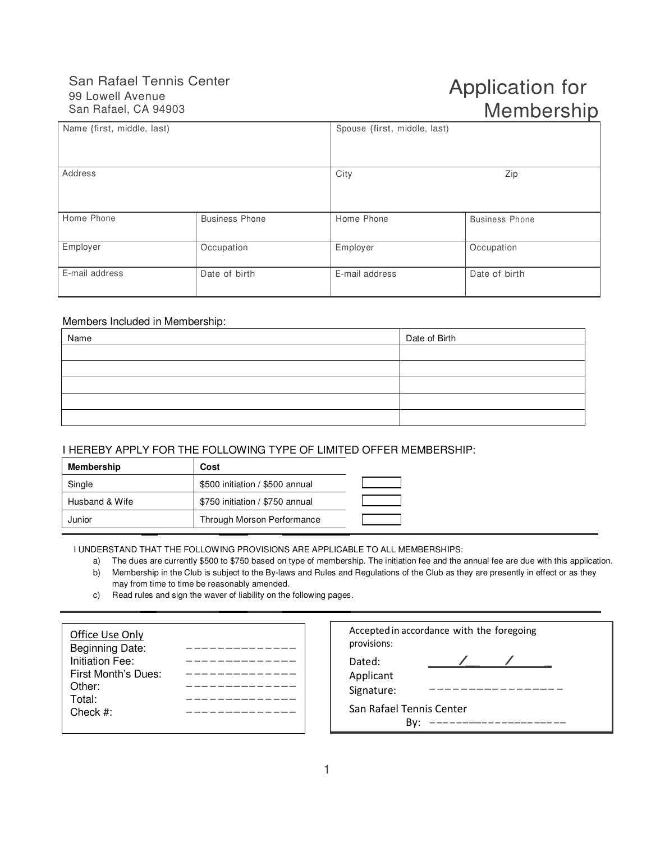## San Rafael Tennis Center 99 Lowell Avenue San Rafael, CA 94903

# Application for Membership

| Name {first, middle, last) |                       | Spouse {first, middle, last) |                       |
|----------------------------|-----------------------|------------------------------|-----------------------|
| Address                    |                       | City<br>Zip                  |                       |
| Home Phone                 | <b>Business Phone</b> | Home Phone                   | <b>Business Phone</b> |
| Employer                   | Occupation            | Employer                     | Occupation            |
| E-mail address             | Date of birth         | E-mail address               | Date of birth         |

#### Members Included in Membership:

| Name | Date of Birth |
|------|---------------|
|      |               |
|      |               |
|      |               |
|      |               |
|      |               |

### I HEREBY APPLY FOR THE FOLLOWING TYPE OF LIMITED OFFER MEMBERSHIP:

| Membership     | Cost                            |  |
|----------------|---------------------------------|--|
| Single         | \$500 initiation / \$500 annual |  |
| Husband & Wife | \$750 initiation / \$750 annual |  |
| Junior         | Through Morson Performance      |  |

I UNDERSTAND THAT THE FOLLOWING PROVISIONS ARE APPLICABLE TO ALL MEMBERSHIPS:

- a) The dues are currently \$500 to \$750 based on type of membership. The initiation fee and the annual fee are due with this application.
- b) Membership in the Club is subject to the By-laws and Rules and Regulations of the Club as they are presently in effect or as they may from time to time be reasonably amended.
- c) Read rules and sign the waver of liability on the following pages.

| Office Use Only     |  |
|---------------------|--|
| Beginning Date:     |  |
| Initiation Fee:     |  |
| First Month's Dues: |  |
| Other:              |  |
| Total:              |  |
| Check $#$ :         |  |
|                     |  |

| Accepted in accordance with the foregoing<br>provisions: |  |  |  |  |  |
|----------------------------------------------------------|--|--|--|--|--|
| Dated:<br>Applicant<br>Signature:                        |  |  |  |  |  |
| San Rafael Tennis Center                                 |  |  |  |  |  |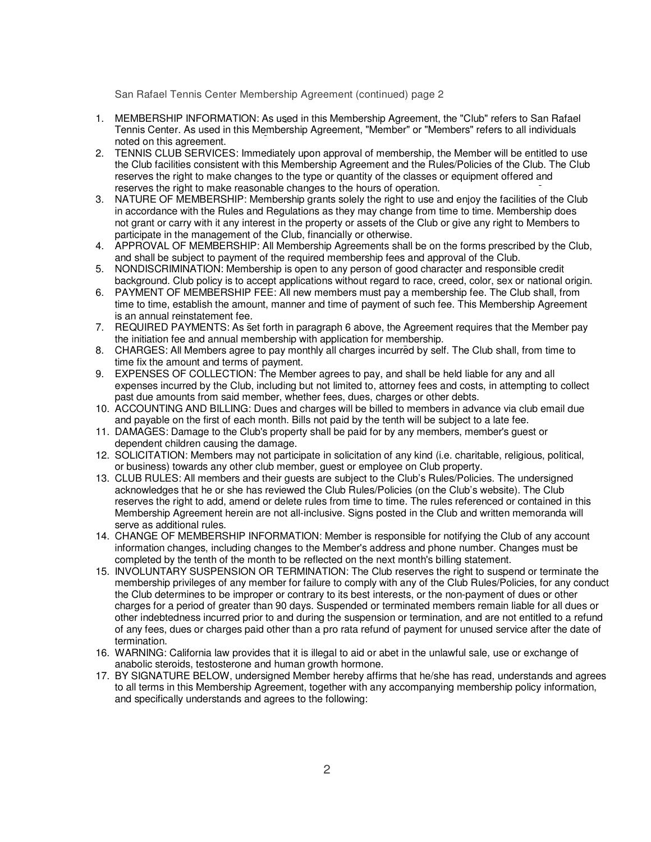San Rafael Tennis Center Membership Agreement (continued) page 2

- 1. MEMBERSHIP INFORMATION: As used in this Membership Agreement, the "Club" refers to San Rafael Tennis Center. As used in this Membership Agreement, "Member" or "Members" refers to all individuals noted on this agreement.
- 2. TENNIS CLUB SERVICES: Immediately upon approval of membership, the Member will be entitled to use the Club facilities consistent with this Membership Agreement and the Rules/Policies of the Club. The Club reserves the right to make changes to the type or quantity of the classes or equipment offered and reserves the right to make reasonable changes to the hours of operation.
- 3. NATURE OF MEMBERSHIP: Membership grants solely the right to use and enjoy the facilities of the Club in accordance with the Rules and Regulations as they may change from time to time. Membership does not grant or carry with it any interest in the property or assets of the Club or give any right to Members to participate in the management of the Club, financially or otherwise.
- 4. APPROVAL OF MEMBERSHIP: All Membership Agreements shall be on the forms prescribed by the Club, and shall be subject to payment of the required membership fees and approval of the Club.
- 5. NONDISCRIMINATION: Membership is open to any person of good character and responsible credit background. Club policy is to accept applications without regard to race, creed, color, sex or national origin.
- 6. PAYMENT OF MEMBERSHIP FEE: All new members must pay a membership fee. The Club shall, from time to time, establish the amount, manner and time of payment of such fee. This Membership Agreement is an annual reinstatement fee.
- 7. REQUIRED PAYMENTS: As set forth in paragraph 6 above, the Agreement requires that the Member pay the initiation fee and annual membership with application for membership.
- 8. CHARGES: All Members agree to pay monthly all charges incurred by self. The Club shall, from time to time fix the amount and terms of payment.
- 9. EXPENSES OF COLLECTION: The Member agrees to pay, and shall be held liable for any and all expenses incurred by the Club, including but not limited to, attorney fees and costs, in attempting to collect past due amounts from said member, whether fees, dues, charges or other debts.
- 10. ACCOUNTING AND BILLING: Dues and charges will be billed to members in advance via club email due and payable on the first of each month. Bills not paid by the tenth will be subject to a late fee.
- 11. DAMAGES: Damage to the Club's property shall be paid for by any members, member's guest or dependent children causing the damage.
- 12. SOLICITATION: Members may not participate in solicitation of any kind (i.e. charitable, religious, political, or business) towards any other club member, guest or employee on Club property.
- 13. CLUB RULES: All members and their guests are subject to the Club's Rules/Policies. The undersigned acknowledges that he or she has reviewed the Club Rules/Policies (on the Club's website). The Club reserves the right to add, amend or delete rules from time to time. The rules referenced or contained in this Membership Agreement herein are not all-inclusive. Signs posted in the Club and written memoranda will serve as additional rules.
- 14. CHANGE OF MEMBERSHIP INFORMATION: Member is responsible for notifying the Club of any account information changes, including changes to the Member's address and phone number. Changes must be completed by the tenth of the month to be reflected on the next month's billing statement.
- 15. INVOLUNTARY SUSPENSION OR TERMINATION: The Club reserves the right to suspend or terminate the membership privileges of any member for failure to comply with any of the Club Rules/Policies, for any conduct the Club determines to be improper or contrary to its best interests, or the non-payment of dues or other charges for a period of greater than 90 days. Suspended or terminated members remain liable for all dues or other indebtedness incurred prior to and during the suspension or termination, and are not entitled to a refund of any fees, dues or charges paid other than a pro rata refund of payment for unused service after the date of termination.
- 16. WARNING: California law provides that it is illegal to aid or abet in the unlawful sale, use or exchange of anabolic steroids, testosterone and human growth hormone.
- 17. BY SIGNATURE BELOW, undersigned Member hereby affirms that he/she has read, understands and agrees to all terms in this Membership Agreement, together with any accompanying membership policy information, and specifically understands and agrees to the following: